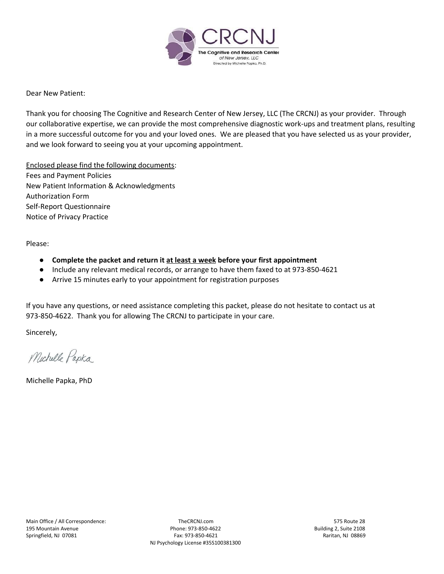

Dear New Patient:

Thank you for choosing The Cognitive and Research Center of New Jersey, LLC (The CRCNJ) as your provider. Through our collaborative expertise, we can provide the most comprehensive diagnostic work-ups and treatment plans, resulting in a more successful outcome for you and your loved ones. We are pleased that you have selected us as your provider, and we look forward to seeing you at your upcoming appointment.

Enclosed please find the following documents: Fees and Payment Policies New Patient Information & Acknowledgments Authorization Form Self-Report Questionnaire Notice of Privacy Practice

Please:

- **● Complete the packet and return it at least a week before your first appointment**
- Include any relevant medical records, or arrange to have them faxed to at 973-850-4621
- Arrive 15 minutes early to your appointment for registration purposes

If you have any questions, or need assistance completing this packet, please do not hesitate to contact us at 973-850-4622. Thank you for allowing The CRCNJ to participate in your care.

Sincerely,

Michelle Papka

Michelle Papka, PhD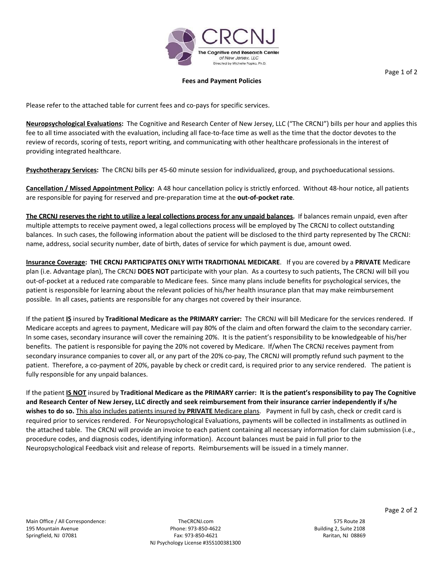

#### **Fees and Payment Policies**

Please refer to the attached table for current fees and co-pays for specific services.

**Neuropsychological Evaluations:** The Cognitive and Research Center of New Jersey, LLC ("The CRCNJ") bills per hour and applies this fee to all time associated with the evaluation, including all face-to-face time as well as the time that the doctor devotes to the review of records, scoring of tests, report writing, and communicating with other healthcare professionals in the interest of providing integrated healthcare.

**Psychotherapy Services:** The CRCNJ bills per 45-60 minute session for individualized, group, and psychoeducational sessions.

**Cancellation / Missed Appointment Policy:** A 48 hour cancellation policy is strictly enforced. Without 48-hour notice, all patients are responsible for paying for reserved and pre-preparation time at the **out-of-pocket rate**.

The CRCNJ reserves the right to utilize a legal collections process for any unpaid balances. If balances remain unpaid, even after multiple attempts to receive payment owed, a legal collections process will be employed by The CRCNJ to collect outstanding balances. In such cases, the following information about the patient will be disclosed to the third party represented by The CRCNJ: name, address, social security number, date of birth, dates of service for which payment is due, amount owed.

**Insurance Coverage: THE CRCNJ PARTICIPATES ONLY WITH TRADITIONAL MEDICARE**. If you are covered by a **PRIVATE** Medicare plan (i.e. Advantage plan), The CRCNJ **DOES NOT** participate with your plan. As a courtesy to such patients, The CRCNJ will bill you out-of-pocket at a reduced rate comparable to Medicare fees. Since many plans include benefits for psychological services, the patient is responsible for learning about the relevant policies of his/her health insurance plan that may make reimbursement possible. In all cases, patients are responsible for any charges not covered by their insurance.

If the patient **IS** insured by **Traditional Medicare as the PRIMARY carrier:** The CRCNJ will bill Medicare for the services rendered. If Medicare accepts and agrees to payment, Medicare will pay 80% of the claim and often forward the claim to the secondary carrier. In some cases, secondary insurance will cover the remaining 20%. It is the patient's responsibility to be knowledgeable of his/her benefits. The patient is responsible for paying the 20% not covered by Medicare. If/when The CRCNJ receives payment from secondary insurance companies to cover all, or any part of the 20% co-pay, The CRCNJ will promptly refund such payment to the patient. Therefore, a co-payment of 20%, payable by check or credit card, is required prior to any service rendered. The patient is fully responsible for any unpaid balances.

If the patient IS NOT insured by Traditional Medicare as the PRIMARY carrier: It is the patient's responsibility to pay The Cognitive and Research Center of New Jersey, LLC directly and seek reimbursement from their insurance carrier independently if s/he **wishes to do so.** This also includes patients insured by **PRIVATE** Medicare plans. Payment in full by cash, check or credit card is required prior to services rendered. For Neuropsychological Evaluations, payments will be collected in installments as outlined in the attached table. The CRCNJ will provide an invoice to each patient containing all necessary information for claim submission (i.e., procedure codes, and diagnosis codes, identifying information). Account balances must be paid in full prior to the Neuropsychological Feedback visit and release of reports. Reimbursements will be issued in a timely manner.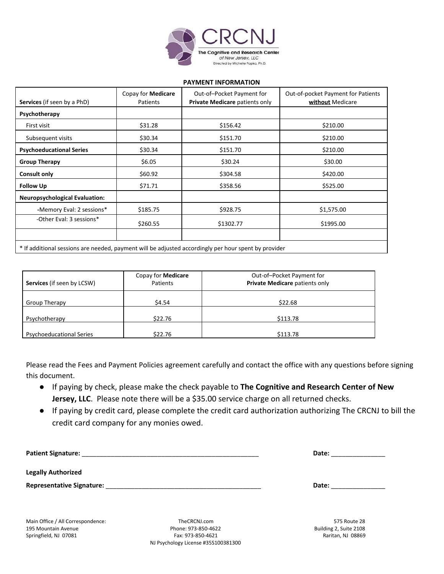

#### **PAYMENT INFORMATION**

| <b>Services</b> (if seen by a PhD)    | Copay for <b>Medicare</b><br>Patients | Out-of-Pocket Payment for<br>Private Medicare patients only                                          | Out-of-pocket Payment for Patients<br>without Medicare |
|---------------------------------------|---------------------------------------|------------------------------------------------------------------------------------------------------|--------------------------------------------------------|
| Psychotherapy                         |                                       |                                                                                                      |                                                        |
| First visit                           | \$31.28                               | \$156.42                                                                                             | \$210.00                                               |
| Subsequent visits                     | \$30.34                               | \$151.70                                                                                             | \$210.00                                               |
| <b>Psychoeducational Series</b>       | \$30.34                               | \$151.70                                                                                             | \$210.00                                               |
| <b>Group Therapy</b>                  | \$6.05                                | \$30.24                                                                                              | \$30.00                                                |
| <b>Consult only</b>                   | \$60.92                               | \$304.58                                                                                             | \$420.00                                               |
| <b>Follow Up</b>                      | \$71.71                               | \$358.56                                                                                             | \$525.00                                               |
| <b>Neuropsychological Evaluation:</b> |                                       |                                                                                                      |                                                        |
| -Memory Eval: 2 sessions*             | \$185.75                              | \$928.75                                                                                             | \$1,575.00                                             |
| -Other Eval: 3 sessions*              | \$260.55                              | \$1302.77                                                                                            | \$1995.00                                              |
|                                       |                                       | * If additional sessions are needed, payment will be adjusted accordingly per hour spent by provider |                                                        |

| <b>Services</b> (if seen by LCSW) | Copay for <b>Medicare</b><br>Patients | Out-of-Pocket Payment for<br>Private Medicare patients only |
|-----------------------------------|---------------------------------------|-------------------------------------------------------------|
| Group Therapy                     | \$4.54                                | \$22.68                                                     |
| Psychotherapy                     | \$22.76                               | \$113.78                                                    |
| <b>Psychoeducational Series</b>   | \$22.76                               | \$113.78                                                    |

Please read the Fees and Payment Policies agreement carefully and contact the office with any questions before signing this document.

- If paying by check, please make the check payable to **The Cognitive and Research Center of New Jersey, LLC**. Please note there will be a \$35.00 service charge on all returned checks.
- If paying by credit card, please complete the credit card authorization authorizing The CRCNJ to bill the credit card company for any monies owed.

| <b>Patient Signature:</b>        | Date: |
|----------------------------------|-------|
| <b>Legally Authorized</b>        |       |
| <b>Representative Signature:</b> | Date: |

Main Office / All Correspondence: TheCRCNJ.com 575 Route 28

195 Mountain Avenue Phone: 973-850-4622 Building 2, Suite 2108 Springfield, NJ 07081 **Fax: 973-850-4621** Fax: 973-850-4621 Raritan, NJ 08869 NJ Psychology License #35S100381300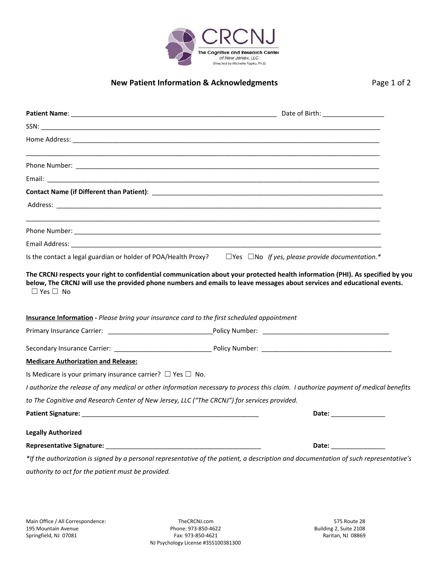

# **New Patient Information & Acknowledgments** Page 1 of 2

|                                                                                                                                                                                                                                | Is the contact a legal guardian or holder of POA/Health Proxy? $\square$ Yes $\square$ No If yes, please provide documentation.*                                                                                               |
|--------------------------------------------------------------------------------------------------------------------------------------------------------------------------------------------------------------------------------|--------------------------------------------------------------------------------------------------------------------------------------------------------------------------------------------------------------------------------|
|                                                                                                                                                                                                                                | <b>Insurance Information</b> - Please bring your insurance card to the first scheduled appointment                                                                                                                             |
|                                                                                                                                                                                                                                |                                                                                                                                                                                                                                |
|                                                                                                                                                                                                                                |                                                                                                                                                                                                                                |
| <b>Medicare Authorization and Release:</b>                                                                                                                                                                                     |                                                                                                                                                                                                                                |
| Is Medicare is your primary insurance carrier? $\Box$ Yes $\Box$ No.                                                                                                                                                           |                                                                                                                                                                                                                                |
|                                                                                                                                                                                                                                | I authorize the release of any medical or other information necessary to process this claim. I authorize payment of medical benefits                                                                                           |
|                                                                                                                                                                                                                                | to The Cognitive and Research Center of New Jersey, LLC ("The CRCNJ") for services provided.                                                                                                                                   |
| Patient Signature: with a state of the control of the control of the control of the control of the control of the control of the control of the control of the control of the control of the control of the control of the con | Date: the contract of the contract of the contract of the contract of the contract of the contract of the contract of the contract of the contract of the contract of the contract of the contract of the contract of the cont |
| <b>Legally Authorized</b>                                                                                                                                                                                                      |                                                                                                                                                                                                                                |
| Representative Signature: Manual Account of the Contract of the Contract of the Contract of the Contract of the                                                                                                                | Date: and the state of the state of the state of the state of the state of the state of the state of the state                                                                                                                 |
|                                                                                                                                                                                                                                | *If the authorization is signed by a personal representative of the patient, a description and documentation of such representative's                                                                                          |
| authority to act for the patient must be provided.                                                                                                                                                                             |                                                                                                                                                                                                                                |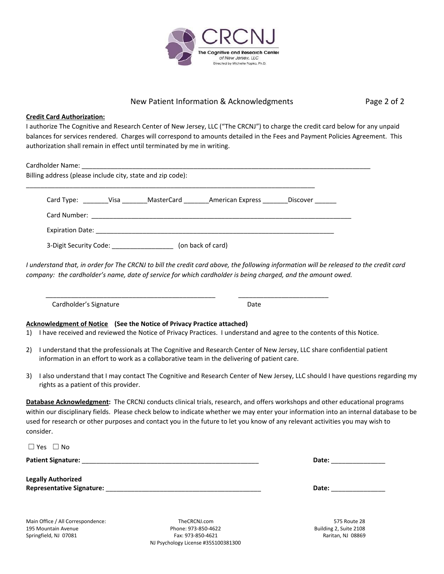

## New Patient Information & Acknowledgments Page 2 of 2

**Credit Card Authorization:**

I authorize The Cognitive and Research Center of New Jersey, LLC ("The CRCNJ") to charge the credit card below for any unpaid balances for services rendered. Charges will correspond to amounts detailed in the Fees and Payment Policies Agreement. This authorization shall remain in effect until terminated by me in writing.

|  | Card Type: Card Type: Card Type: Card Type: Card Type: Card Type: | Discover |
|--|-------------------------------------------------------------------|----------|
|  |                                                                   |          |

I understand that, in order for The CRCNJ to bill the credit card above, the following information will be released to the credit card company: the cardholder's name, date of service for which cardholder is being charged, and the amount owed.

Cardholder's Signature Date

**Acknowledgment of Notice (See the Notice of Privacy Practice attached)**

1) I have received and reviewed the Notice of Privacy Practices. I understand and agree to the contents of this Notice.

- 2) I understand that the professionals at The Cognitive and Research Center of New Jersey, LLC share confidential patient information in an effort to work as a collaborative team in the delivering of patient care.
- 3) I also understand that I may contact The Cognitive and Research Center of New Jersey, LLC should I have questions regarding my rights as a patient of this provider.

**Database Acknowledgment:** The CRCNJ conducts clinical trials, research, and offers workshops and other educational programs within our disciplinary fields. Please check below to indicate whether we may enter your information into an internal database to be used for research or other purposes and contact you in the future to let you know of any relevant activities you may wish to consider.

| $\Box$ Yes $\Box$ No                                                                                                                               |       |
|----------------------------------------------------------------------------------------------------------------------------------------------------|-------|
| <b>Patient Signature:</b><br><u> Alexander de la construcción de la construcción de la construcción de la construcción de la construcción de l</u> | Date: |
| <b>Legally Authorized</b>                                                                                                                          |       |
| <b>Representative Signature:</b>                                                                                                                   | Date: |
|                                                                                                                                                    |       |

Main Office / All Correspondence: TheCRCNJ.com 575 Route 28 195 Mountain Avenue Phone: 973-850-4622 Building 2, Suite 2108 Springfield, NJ 07081 **Fax: 973-850-4621** Fax: 973-850-4621 Raritan, NJ 08869 NJ Psychology License #35S100381300

\_\_\_\_\_\_\_\_\_\_\_\_\_\_\_\_\_\_\_\_\_\_\_\_\_\_\_\_\_\_\_\_\_\_\_\_\_\_\_\_\_\_\_\_\_\_\_ \_\_\_\_\_\_\_\_\_\_\_\_\_\_\_\_\_\_\_\_\_\_\_\_\_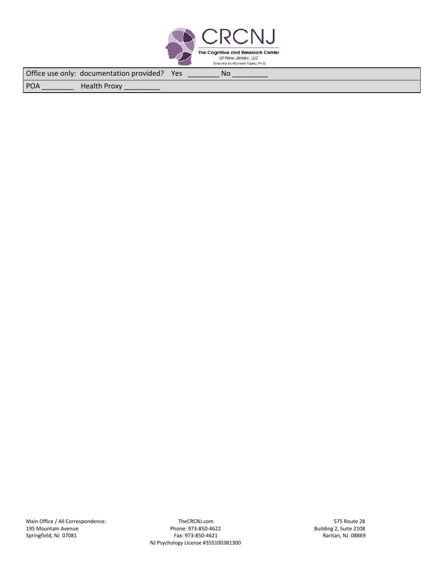

Office use only: documentation provided? Yes \_\_\_\_\_\_\_\_\_ No

POA \_\_\_\_\_\_\_\_\_\_\_\_\_\_\_\_\_ Health Proxy

Springfield, NJ 07081

Main Office / All Correspondence: TheCRCNJ.com 575 Route 28 and 575 Route 28 and 575 Route 28 and 575 Route 28<br>Building 2, Suite 2108 and 573-850-4622 and 573-850-4622 and 573-850-4622 195 Mone: 973-850-4622 Mone: 973-850-4622 Building 2, Suite 2108<br>Fax: 973-850-4621 Building 2, Suite 2108 NJ Psychology License #35S100381300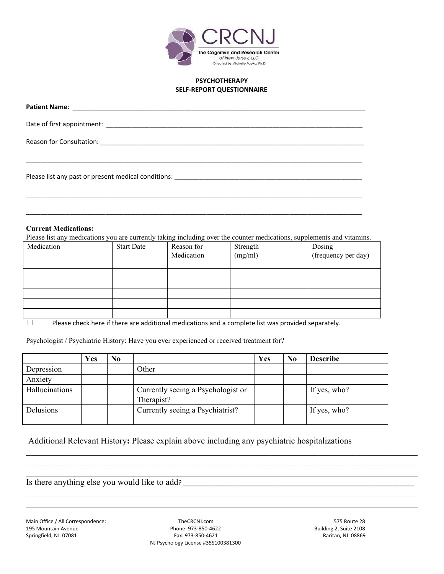

### **PSYCHOTHERAPY SELF-REPORT QUESTIONNAIRE**

| Please list any past or present medical conditions: |
|-----------------------------------------------------|

### **Current Medications:**

Please list any medications you are currently taking including over the counter medications, supplements and vitamins.

\_\_\_\_\_\_\_\_\_\_\_\_\_\_\_\_\_\_\_\_\_\_\_\_\_\_\_\_\_\_\_\_\_\_\_\_\_\_\_\_\_\_\_\_\_\_\_\_\_\_\_\_\_\_\_\_\_\_\_\_\_\_\_\_\_\_\_\_\_\_\_\_\_\_\_\_\_\_\_\_\_\_\_\_\_\_\_\_\_\_\_\_\_

\_\_\_\_\_\_\_\_\_\_\_\_\_\_\_\_\_\_\_\_\_\_\_\_\_\_\_\_\_\_\_\_\_\_\_\_\_\_\_\_\_\_\_\_\_\_\_\_\_\_\_\_\_\_\_\_\_\_\_\_\_\_\_\_\_\_\_\_\_\_\_\_\_\_\_\_\_\_\_\_\_\_\_\_\_\_\_\_\_\_\_\_\_

| Medication | <b>Start Date</b> | Reason for<br>Medication | Strength<br>(mg/ml) | Dosing<br>(frequency per day) |
|------------|-------------------|--------------------------|---------------------|-------------------------------|
|            |                   |                          |                     |                               |
|            |                   |                          |                     |                               |
|            |                   |                          |                     |                               |
|            |                   |                          |                     |                               |
|            |                   |                          |                     |                               |

 $\Box$  Please check here if there are additional medications and a complete list was provided separately.

Psychologist / Psychiatric History: Have you ever experienced or received treatment for?

|                | Yes | N <sub>0</sub> |                                                  | Yes | N <sub>0</sub> | <b>Describe</b> |
|----------------|-----|----------------|--------------------------------------------------|-----|----------------|-----------------|
| Depression     |     |                | Other                                            |     |                |                 |
| Anxiety        |     |                |                                                  |     |                |                 |
| Hallucinations |     |                | Currently seeing a Psychologist or<br>Therapist? |     |                | If yes, who?    |
| Delusions      |     |                | Currently seeing a Psychiatrist?                 |     |                | If yes, who?    |

 $\_$  , and the contribution of the contribution of the contribution of the contribution of the contribution of  $\mathcal{L}_\text{max}$  $\_$  , and the contribution of the contribution of the contribution of the contribution of the contribution of  $\mathcal{L}_\text{max}$  $\_$  , and the contribution of the contribution of the contribution of the contribution of the contribution of  $\mathcal{L}_\text{max}$ 

 $\_$  , and the contribution of the contribution of the contribution of the contribution of the contribution of  $\mathcal{L}_\text{max}$  $\_$  , and the contribution of the contribution of the contribution of the contribution of the contribution of  $\mathcal{L}_\text{max}$ 

Additional Relevant History**:** Please explain above including any psychiatric hospitalizations

Is there anything else you would like to add?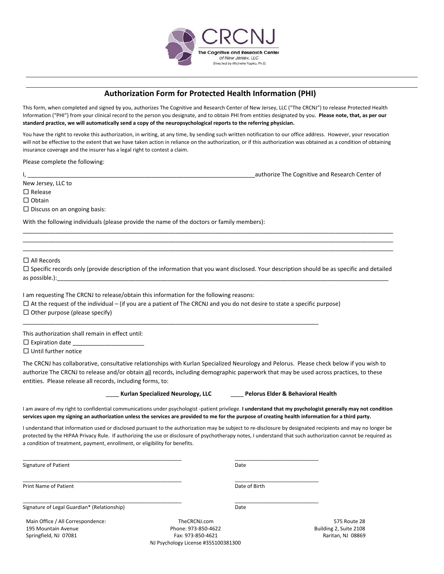

 $\_$  , and the contribution of the contribution of the contribution of the contribution of the contribution of  $\mathcal{L}_\text{max}$  $\_$  , and the contribution of the contribution of the contribution of the contribution of the contribution of  $\mathcal{L}_\text{max}$ 

## **Authorization Form for Protected Health Information (PHI)**

This form, when completed and signed by you, authorizes The Cognitive and Research Center of New Jersey, LLC ("The CRCNJ") to release Protected Health Information ("PHI") from your clinical record to the person you designate, and to obtain PHI from entities designated by you. **Please note, that, as per our** standard practice, we will automatically send a copy of the neuropsychological reports to the referring physician.

You have the right to revoke this authorization, in writing, at any time, by sending such written notification to our office address. However, your revocation will not be effective to the extent that we have taken action in reliance on the authorization, or if this authorization was obtained as a condition of obtaining insurance coverage and the insurer has a legal right to contest a claim.

Please complete the following:

I, \_\_\_\_\_\_\_\_\_\_\_\_\_\_\_\_\_\_\_\_\_\_\_\_\_\_\_\_\_\_\_\_\_\_\_\_\_\_\_\_\_\_\_\_\_\_\_\_\_\_\_\_\_\_\_\_\_\_\_\_\_\_\_\_\_\_\_\_\_\_authorize The Cognitive and Research Center of

New Jersey, LLC to

□ Release

□ Obtain

□ Discuss on an ongoing basis:

With the following individuals (please provide the name of the doctors or family members):

□ All Records

 $\square$  Specific records only (provide description of the information that you want disclosed. Your description should be as specific and detailed as possible.):\_\_\_\_\_\_\_\_\_\_\_\_\_\_\_\_\_\_\_\_\_\_\_\_\_\_\_\_\_\_\_\_\_\_\_\_\_\_\_\_\_\_\_\_\_\_\_\_\_\_\_\_\_\_\_\_\_\_\_\_\_\_\_\_\_\_\_\_\_\_\_\_\_\_\_\_\_\_\_\_\_\_\_\_\_\_\_\_\_\_\_\_\_\_\_\_\_\_\_\_\_\_

\_\_\_\_\_\_\_\_\_\_\_\_\_\_\_\_\_\_\_\_\_\_\_\_\_\_\_\_\_\_\_\_\_\_\_\_\_\_\_\_\_\_\_\_\_\_\_\_\_\_\_\_\_\_\_\_\_\_\_\_\_\_\_\_\_\_\_\_\_\_\_\_\_\_\_\_\_\_\_\_\_\_\_\_\_\_\_\_\_\_\_\_\_\_\_\_\_\_\_\_\_\_\_\_\_\_\_\_\_\_\_\_\_\_ \_\_\_\_\_\_\_\_\_\_\_\_\_\_\_\_\_\_\_\_\_\_\_\_\_\_\_\_\_\_\_\_\_\_\_\_\_\_\_\_\_\_\_\_\_\_\_\_\_\_\_\_\_\_\_\_\_\_\_\_\_\_\_\_\_\_\_\_\_\_\_\_\_\_\_\_\_\_\_\_\_\_\_\_\_\_\_\_\_\_\_\_\_\_\_\_\_\_\_\_\_\_\_\_\_\_\_\_\_\_\_\_\_\_ \_\_\_\_\_\_\_\_\_\_\_\_\_\_\_\_\_\_\_\_\_\_\_\_\_\_\_\_\_\_\_\_\_\_\_\_\_\_\_\_\_\_\_\_\_\_\_\_\_\_\_\_\_\_\_\_\_\_\_\_\_\_\_\_\_\_\_\_\_\_\_\_\_\_\_\_\_\_\_\_\_\_\_\_\_\_\_\_\_\_\_\_\_\_\_\_\_\_\_\_\_\_\_\_\_\_\_\_\_\_\_\_\_\_

I am requesting The CRCNJ to release/obtain this information for the following reasons:

 $\square$  At the request of the individual – (if you are a patient of The CRCNJ and you do not desire to state a specific purpose)

\_\_\_\_\_\_\_\_\_\_\_\_\_\_\_\_\_\_\_\_\_\_\_\_\_\_\_\_\_\_\_\_\_\_\_\_\_\_\_\_\_\_\_\_\_\_\_\_\_\_\_\_\_\_\_\_\_\_\_\_\_\_\_\_\_\_\_\_\_\_\_\_\_\_\_\_\_\_\_\_\_\_\_\_\_\_\_\_\_\_\_

\_\_\_\_\_\_\_\_\_\_\_\_\_\_\_\_\_\_\_\_\_\_\_\_\_\_\_\_\_\_\_\_\_\_\_\_\_\_\_\_\_\_\_\_\_\_\_\_\_\_\_\_\_\_\_ \_\_\_\_\_\_\_\_\_\_\_\_\_\_\_\_\_\_\_\_\_\_\_\_\_\_\_\_\_

 $\Box$  Other purpose (please specify)

This authorization shall remain in effect until:

 $\square$  Expiration date

□ Until further notice

The CRCNJ has collaborative, consultative relationships with Kurlan Specialized Neurology and Pelorus. Please check below if you wish to authorize The CRCNJ to release and/or obtain all records, including demographic paperwork that may be used across practices, to these entities. Please release all records, including forms, to:

\_\_\_\_ **Kurlan Specialized Neurology, LLC** \_\_\_\_ **Pelorus Elder & Behavioral Health**

I am aware of my right to confidential communications under psychologist -patient privilege. **I understand that my psychologist generally may not condition** services upon my signing an authorization unless the services are provided to me for the purpose of creating health information for a third party.

I understand that information used or disclosed pursuant to the authorization may be subject to re-disclosure by designated recipients and may no longer be protected by the HIPAA Privacy Rule. If authorizing the use or disclosure of psychotherapy notes, I understand that such authorization cannot be required as a condition of treatment, payment, enrollment, or eligibility for benefits.

Signature of Patient **Date** 

\_\_\_\_\_\_\_\_\_\_\_\_\_\_\_\_\_\_\_\_\_\_\_\_\_\_\_\_\_\_\_\_\_\_\_\_\_\_\_\_\_\_\_\_\_\_\_\_\_\_\_\_\_\_\_ \_\_\_\_\_\_\_\_\_\_\_\_\_\_\_\_\_\_\_\_\_\_\_\_\_\_\_\_\_ Print Name of Patient **Date of Birth** Date of Birth

Signature of Legal Guardian\* (Relationship) Signature of Legal Guardian based on the Date

\_\_\_\_\_\_\_\_\_\_\_\_\_\_\_\_\_\_\_\_\_\_\_\_\_\_\_\_\_\_\_\_\_\_\_\_\_\_\_\_\_\_\_\_\_\_\_\_\_\_\_\_\_\_\_ \_\_\_\_\_\_\_\_\_\_\_\_\_\_\_\_\_\_\_\_\_\_\_\_\_\_\_\_\_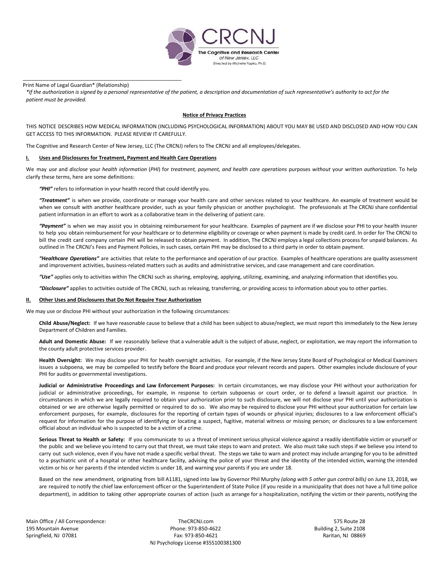

Print Name of Legal Guardian\* (Relationship)

\_\_\_\_\_\_\_\_\_\_\_\_\_\_\_\_\_\_\_\_\_\_\_\_\_\_\_\_\_\_\_\_\_\_\_\_\_\_\_\_\_\_\_\_\_\_\_\_\_\_\_\_\_\_\_

\*If the authorization is signed by a personal representative of the patient, a description and documentation of such representative's authority to act for the *patient must be provided*.

#### **Notice of Privacy Practices**

THIS NOTICE DESCRIBES HOW MEDICAL INFORMATION (INCLUDING PSYCHOLOGICAL INFORMATION) ABOUT YOU MAY BE USED AND DISCLOSED AND HOW YOU CAN GET ACCESS TO THIS INFORMATION. PLEASE REVIEW IT CAREFULLY.

The Cognitive and Research Center of New Jersey, LLC (The CRCNJ) refers to The CRCNJ and all employees/delegates.

#### **I. Uses and Disclosures for Treatment, Payment and Health Care Operations**

We may use and disclose your health information (PHI) for treatment, payment, and health care operations purposes without your written authorization. To help clarify these terms, here are some definitions:

*"PHI"* refers to information in your health record that could identify you.

*"Treatment"* is when we provide, coordinate or manage your health care and other services related to your healthcare. An example of treatment would be when we consult with another healthcare provider, such as your family physician or another psychologist. The professionals at The CRCNJ share confidential patient information in an effort to work as a collaborative team in the delivering of patient care.

*"Payment"* is when we may assist you in obtaining reimbursement for your healthcare. Examples of payment are if we disclose your PHI to your health insurer to help you obtain reimbursement for your healthcare or to determine eligibility or coverage or when payment is made by credit card. In order for The CRCNJ to bill the credit card company certain PHI will be released to obtain payment. In addition, The CRCNJ employs a legal collections process for unpaid balances. As outlined in The CRCNJ's Fees and Payment Policies, in such cases, certain PHI may be disclosed to a third party in order to obtain payment.

*"Healthcare Operations"* are activities that relate to the performance and operation of our practice. Examples of healthcare operations are quality assessment and improvement activities, business-related matters such as audits and administrative services, and case management and care coordination.

*"Use"* applies only to activities within The CRCNJ such as sharing, employing, applying, utilizing, examining, and analyzing information that identifies you.

*"Disclosure"* applies to activities outside of The CRCNJ, such as releasing, transferring, or providing access to information about you to other parties.

#### **II. Other Uses and Disclosures that Do Not Require Your Authorization**

We may use or disclose PHI without your authorization in the following circumstances:

**Child Abuse/Neglect:** If we have reasonable cause to believe that a child has been subject to abuse/neglect, we must report this immediately to the New Jersey Department of Children and Families.

**Adult and Domestic Abuse:** If we reasonably believe that a vulnerable adult is the subject of abuse, neglect, or exploitation, we may report the information to the county adult protective services provider.

**Health Oversight:** We may disclose your PHI for health oversight activities. For example, if the New Jersey State Board of Psychological or Medical Examiners issues a subpoena, we may be compelled to testify before the Board and produce your relevant records and papers. Other examples include disclosure of your PHI for audits or governmental investigations.

**Judicial or Administrative Proceedings and Law Enforcement Purposes:** In certain circumstances, we may disclose your PHI without your authorization for judicial or administrative proceedings, for example, in response to certain subpoenas or court order, or to defend a lawsuit against our practice. In circumstances in which we are legally required to obtain your authorization prior to such disclosure, we will not disclose your PHI until your authorization is obtained or we are otherwise legally permitted or required to do so. We also may be required to disclose your PHI without your authorization for certain law enforcement purposes, for example, disclosures for the reporting of certain types of wounds or physical injuries; disclosures to a law enforcement official's request for information for the purpose of identifying or locating a suspect, fugitive, material witness or missing person; or disclosures to a law enforcement official about an individual who is suspected to be a victim of a crime.

**Serious Threat to Health or Safety:** If you communicate to us a threat of imminent serious physical violence against a readily identifiable victim or yourself or the public and we believe you intend to carry out that threat, we must take steps to warn and protect. We also must take such steps if we believe you intend to carry out such violence, even if you have not made a specific verbal threat. The steps we take to warn and protect may include arranging for you to be admitted to a psychiatric unit of a hospital or other healthcare facility, advising the police of your threat and the identity of the intended victim, warning the intended victim or his or her parents if the intended victim is under 18, and warning your parents if you are under 18.

Based on the new amendment, originating from bill A1181, signed into law by Governor Phil Murphy *(along with 5 other gun control bills)* on June 13, 2018, we are required to notify the chief law enforcement officer or the Superintendent of State Police (if you reside in a municipality that does not have a full time police department), in addition to taking other appropriate courses of action (such as arrange for a hospitalization, notifying the victim or their parents, notifying the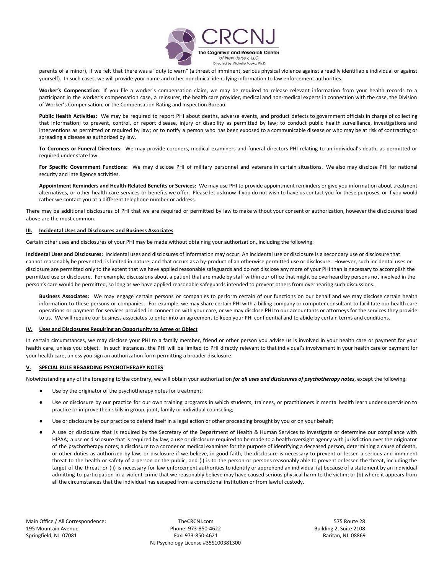

parents of a minor), if we felt that there was a "duty to warn" (a threat of imminent, serious physical violence against a readily identifiable individual or against yourself). In such cases, we will provide your name and other nonclinical identifying information to law enforcement authorities.

**Worker's Compensation**: If you file a worker's compensation claim, we may be required to release relevant information from your health records to a participant in the worker's compensation case, a reinsurer, the health care provider, medical and non-medical experts in connection with the case, the Division of Worker's Compensation, or the Compensation Rating and Inspection Bureau.

**Public Health Activities:** We may be required to report PHI about deaths, adverse events, and product defects to government officials in charge of collecting that information; to prevent, control, or report disease, injury or disability as permitted by law; to conduct public health surveillance, investigations and interventions as permitted or required by law; or to notify a person who has been exposed to a communicable disease or who may be at risk of contracting or spreading a disease as authorized by law.

**To Coroners or Funeral Directors:** We may provide coroners, medical examiners and funeral directors PHI relating to an individual's death, as permitted or required under state law.

**For Specific Government Functions:** We may disclose PHI of military personnel and veterans in certain situations. We also may disclose PHI for national security and intelligence activities.

**Appointment Reminders and Health-Related Benefits or Services:** We may use PHI to provide appointment reminders or give you information about treatment alternatives, or other health care services or benefits we offer. Please let us know if you do not wish to have us contact you for these purposes, or if you would rather we contact you at a different telephone number or address.

There may be additional disclosures of PHI that we are required or permitted by law to make without your consent or authorization, however the disclosures listed above are the most common.

#### **III. Incidental Uses and Disclosures and Business Associates**

Certain other uses and disclosures of your PHI may be made without obtaining your authorization, including the following:

**Incidental Uses and Disclosures:** Incidental uses and disclosures of information may occur. An incidental use or disclosure is a secondary use or disclosure that cannot reasonably be prevented, is limited in nature, and that occurs as a by-product of an otherwise permitted use or disclosure. However, such incidental uses or disclosure are permitted only to the extent that we have applied reasonable safeguards and do not disclose any more of your PHI than is necessary to accomplish the permitted use or disclosure. For example, discussions about a patient that are made by staff within our office that might be overheard by persons not involved in the person's care would be permitted, so long as we have applied reasonable safeguards intended to prevent others from overhearing such discussions.

**Business Associates:** We may engage certain persons or companies to perform certain of our functions on our behalf and we may disclose certain health information to these persons or companies. For example, we may share certain PHI with a billing company or computer consultant to facilitate our health care operations or payment for services provided in connection with your care, or we may disclose PHI to our accountants or attorneys for the services they provide to us. We will require our business associates to enter into an agreement to keep your PHI confidential and to abide by certain terms and conditions.

#### **IV. Uses and Disclosures Requiring an Opportunity to Agree or Object**

In certain circumstances, we may disclose your PHI to a family member, friend or other person you advise us is involved in your health care or payment for your health care, unless you object. In such instances, the PHI will be limited to PHI directly relevant to that individual's involvement in your health care or payment for your health care, unless you sign an authorization form permitting a broader disclosure.

#### **V. SPECIAL RULE REGARDING PSYCHOTHERAPY NOTES**

Notwithstanding any of the foregoing to the contrary, we will obtain your authorization *for all uses and disclosures of psychotherapy notes*, except the following:

- Use by the originator of the psychotherapy notes for treatment;
- Use or disclosure by our practice for our own training programs in which students, trainees, or practitioners in mental health learn under supervision to practice or improve their skills in group, joint, family or individual counseling;
- Use or disclosure by our practice to defend itself in a legal action or other proceeding brought by you or on your behalf;
- A use or disclosure that is required by the Secretary of the Department of Health & Human Services to investigate or determine our compliance with HIPAA; a use or disclosure that is required by law; a use or disclosure required to be made to a health oversight agency with jurisdiction over the originator of the psychotherapy notes; a disclosure to a coroner or medical examiner for the purpose of identifying a deceased person, determining a cause of death, or other duties as authorized by law; or disclosure if we believe, in good faith, the disclosure is necessary to prevent or lessen a serious and imminent threat to the health or safety of a person or the public, and (i) is to the person or persons reasonably able to prevent or lessen the threat, including the target of the threat, or (ii) is necessary for law enforcement authorities to identify or apprehend an individual (a) because of a statement by an individual admitting to participation in a violent crime that we reasonably believe may have caused serious physical harm to the victim; or (b) where it appears from all the circumstances that the individual has escaped from a correctional institution or from lawful custody.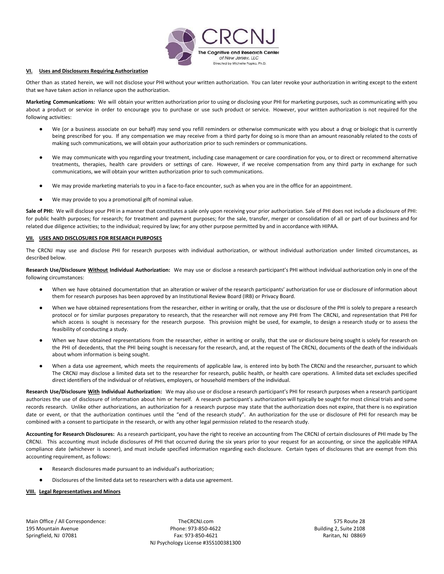

#### **VI. Uses and Disclosures Requiring Authorization**

Other than as stated herein, we will not disclose your PHI without your written authorization. You can later revoke your authorization in writing except to the extent that we have taken action in reliance upon the authorization.

**Marketing Communications:** We will obtain your written authorization prior to using or disclosing your PHI for marketing purposes, such as communicating with you about a product or service in order to encourage you to purchase or use such product or service. However, your written authorization is not required for the following activities:

- We (or a business associate on our behalf) may send you refill reminders or otherwise communicate with you about a drug or biologic that is currently being prescribed for you. If any compensation we may receive from a third party for doing so is more than an amount reasonably related to the costs of making such communications, we will obtain your authorization prior to such reminders or communications.
- We may communicate with you regarding your treatment, including case management or care coordination for you, or to direct or recommend alternative treatments, therapies, health care providers or settings of care. However, if we receive compensation from any third party in exchange for such communications, we will obtain your written authorization prior to such communications.
- We may provide marketing materials to you in a face-to-face encounter, such as when you are in the office for an appointment.
- We may provide to you a promotional gift of nominal value.

**Sale of PHI:** We will disclose your PHI in a manner that constitutes a sale only upon receiving your prior authorization. Sale of PHI does not include a disclosure of PHI: for public health purposes; for research; for treatment and payment purposes; for the sale, transfer, merger or consolidation of all or part of our business and for related due diligence activities; to the individual; required by law; for any other purpose permitted by and in accordance with HIPAA.

#### **VII. USES AND DISCLOSURES FOR RESEARCH PURPOSES**

The CRCNJ may use and disclose PHI for research purposes with individual authorization, or without individual authorization under limited circumstances, as described below.

**Research Use/Disclosure Without Individual Authorization:** We may use or disclose a research participant's PHI without individual authorization only in one of the following circumstances:

- When we have obtained documentation that an alteration or waiver of the research participants' authorization for use or disclosure of information about them for research purposes has been approved by an Institutional Review Board (IRB) or Privacy Board.
- When we have obtained representations from the researcher, either in writing or orally, that the use or disclosure of the PHI is solely to prepare a research protocol or for similar purposes preparatory to research, that the researcher will not remove any PHI from The CRCNJ, and representation that PHI for which access is sought is necessary for the research purpose. This provision might be used, for example, to design a research study or to assess the feasibility of conducting a study.
- When we have obtained representations from the researcher, either in writing or orally, that the use or disclosure being sought is solely for research on the PHI of decedents, that the PHI being sought is necessary for the research, and, at the request of The CRCNJ, documents of the death of the individuals about whom information is being sought.
- When a data use agreement, which meets the requirements of applicable law, is entered into by both The CRCNJ and the researcher, pursuant to which The CRCNJ may disclose a limited data set to the researcher for research, public health, or health care operations. A limited data set excludes specified direct identifiers of the individual or of relatives, employers, or household members of the individual.

**Research Use/Disclosure With Individual Authorization:** We may also use or disclose a research participant's PHI for research purposes when a research participant authorizes the use of disclosure of information about him or herself. A research participant's authorization will typically be sought for most clinical trials and some records research. Unlike other authorizations, an authorization for a research purpose may state that the authorization does not expire, that there is no expiration date or event, or that the authorization continues until the "end of the research study". An authorization for the use or disclosure of PHI for research may be combined with a consent to participate in the research, or with any other legal permission related to the research study.

**Accounting for Research Disclosures:** As a research participant, you have the right to receive an accounting from The CRCNJ of certain disclosures of PHI made by The CRCNJ. This accounting must include disclosures of PHI that occurred during the six years prior to your request for an accounting, or since the applicable HIPAA compliance date (whichever is sooner), and must include specified information regarding each disclosure. Certain types of disclosures that are exempt from this accounting requirement, as follows:

- Research disclosures made pursuant to an individual's authorization;
- Disclosures of the limited data set to researchers with a data use agreement.

#### **VIII. Legal Representatives and Minors**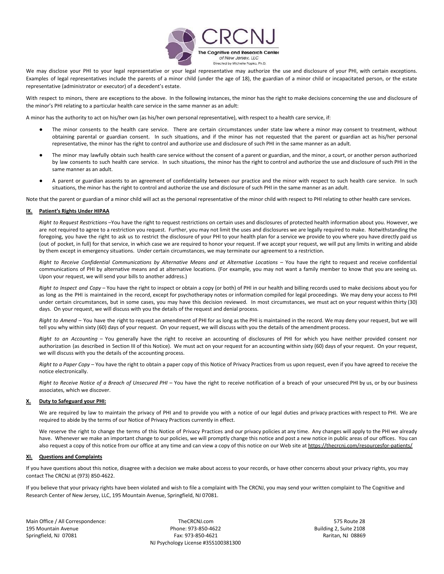

We may disclose your PHI to your legal representative or your legal representative may authorize the use and disclosure of your PHI, with certain exceptions. Examples of legal representatives include the parents of a minor child (under the age of 18), the guardian of a minor child or incapacitated person, or the estate representative (administrator or executor) of a decedent's estate.

With respect to minors, there are exceptions to the above. In the following instances, the minor has the right to make decisions concerning the use and disclosure of the minor's PHI relating to a particular health care service in the same manner as an adult:

A minor has the authority to act on his/her own (as his/her own personal representative), with respect to a health care service, if:

- The minor consents to the health care service. There are certain circumstances under state law where a minor may consent to treatment, without obtaining parental or guardian consent. In such situations, and if the minor has not requested that the parent or guardian act as his/her personal representative, the minor has the right to control and authorize use and disclosure of such PHI in the same manner as an adult.
- The minor may lawfully obtain such health care service without the consent of a parent or guardian, and the minor, a court, or another person authorized by law consents to such health care service. In such situations, the minor has the right to control and authorize the use and disclosure of such PHI in the same manner as an adult.
- A parent or guardian assents to an agreement of confidentiality between our practice and the minor with respect to such health care service. In such situations, the minor has the right to control and authorize the use and disclosure of such PHI in the same manner as an adult.

Note that the parent or guardian of a minor child will act as the personal representative of the minor child with respect to PHI relating to other health care services.

#### **IX. Patient's Rights Under HIPAA**

*Right to Request Restrictions* –You have the right to request restrictions on certain uses and disclosures of protected health information about you. However, we are not required to agree to a restriction you request. Further, you may not limit the uses and disclosures we are legally required to make. Notwithstanding the foregoing, you have the right to ask us to restrict the disclosure of your PHI to your health plan for a service we provide to you where you have directly paid us (out of pocket, in full) for that service, in which case we are required to honor your request. If we accept your request, we will put any limits in writing and abide by them except in emergency situations. Under certain circumstances, we may terminate our agreement to a restriction.

Right to Receive Confidential Communications by Alternative Means and at Alternative Locations - You have the right to request and receive confidential communications of PHI by alternative means and at alternative locations. (For example, you may not want a family member to know that you are seeing us. Upon your request, we will send your bills to another address.)

*Right to Inspect and Copy* – You have the right to inspect or obtain a copy (or both) of PHI in our health and billing records used to make decisions about you for as long as the PHI is maintained in the record, except for psychotherapy notes or information compiled for legal proceedings. We may deny your access to PHI under certain circumstances, but in some cases, you may have this decision reviewed. In most circumstances, we must act on your request within thirty (30) days. On your request, we will discuss with you the details of the request and denial process.

*Right to Amend* – You have the right to request an amendment of PHI for as long as the PHI is maintained in the record. We may deny your request, but we will tell you why within sixty (60) days of your request. On your request, we will discuss with you the details of the amendment process.

*Right to an Accounting* – You generally have the right to receive an accounting of disclosures of PHI for which you have neither provided consent nor authorization (as described in Section III of this Notice). We must act on your request for an accounting within sixty (60) days of your request. On your request, we will discuss with you the details of the accounting process.

*Right to a Paper Copy* – You have the right to obtain a paper copy of this Notice of Privacy Practices from us upon request, even if you have agreed to receive the notice electronically.

Right to Receive Notice of a Breach of Unsecured PHI - You have the right to receive notification of a breach of your unsecured PHI by us, or by our business associates, which we discover.

#### **X. Duty to Safeguard your PHI:**

We are required by law to maintain the privacy of PHI and to provide you with a notice of our legal duties and privacy practices with respect to PHI. We are required to abide by the terms of our Notice of Privacy Practices currently in effect.

We reserve the right to change the terms of this Notice of Privacy Practices and our privacy policies at any time. Any changes will apply to the PHI we already have. Whenever we make an important change to our policies, we will promptly change this notice and post a new notice in public areas of our offices. You can also request a copy of this notice from our office at any time and can view a copy of this notice on our Web site at <https://thecrcnj.com/resourcesfor-patients/>

#### **XI. Questions and Complaints**

If you have questions about this notice, disagree with a decision we make about access to your records, or have other concerns about your privacy rights, you may contact The CRCNJ at (973) 850-4622.

If you believe that your privacy rights have been violated and wish to file a complaint with The CRCNJ, you may send your written complaint to The Cognitive and Research Center of New Jersey, LLC, 195 Mountain Avenue, Springfield, NJ 07081.